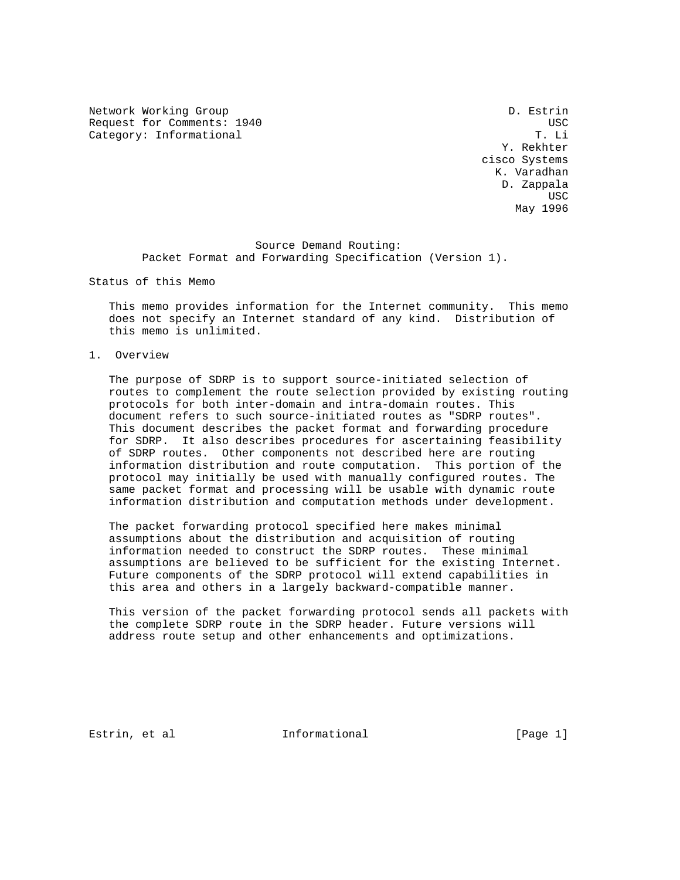Network Working Group D. Estrin Request for Comments: 1940 USC Category: Informational

 Y. Rekhter cisco Systems K. Varadhan D. Zappala **USC USC USC USC USC** May 1996

> Source Demand Routing: Packet Format and Forwarding Specification (Version 1).

Status of this Memo

 This memo provides information for the Internet community. This memo does not specify an Internet standard of any kind. Distribution of this memo is unlimited.

1. Overview

 The purpose of SDRP is to support source-initiated selection of routes to complement the route selection provided by existing routing protocols for both inter-domain and intra-domain routes. This document refers to such source-initiated routes as "SDRP routes". This document describes the packet format and forwarding procedure for SDRP. It also describes procedures for ascertaining feasibility of SDRP routes. Other components not described here are routing information distribution and route computation. This portion of the protocol may initially be used with manually configured routes. The same packet format and processing will be usable with dynamic route information distribution and computation methods under development.

 The packet forwarding protocol specified here makes minimal assumptions about the distribution and acquisition of routing information needed to construct the SDRP routes. These minimal assumptions are believed to be sufficient for the existing Internet. Future components of the SDRP protocol will extend capabilities in this area and others in a largely backward-compatible manner.

 This version of the packet forwarding protocol sends all packets with the complete SDRP route in the SDRP header. Future versions will address route setup and other enhancements and optimizations.

Estrin, et al informational informational [Page 1]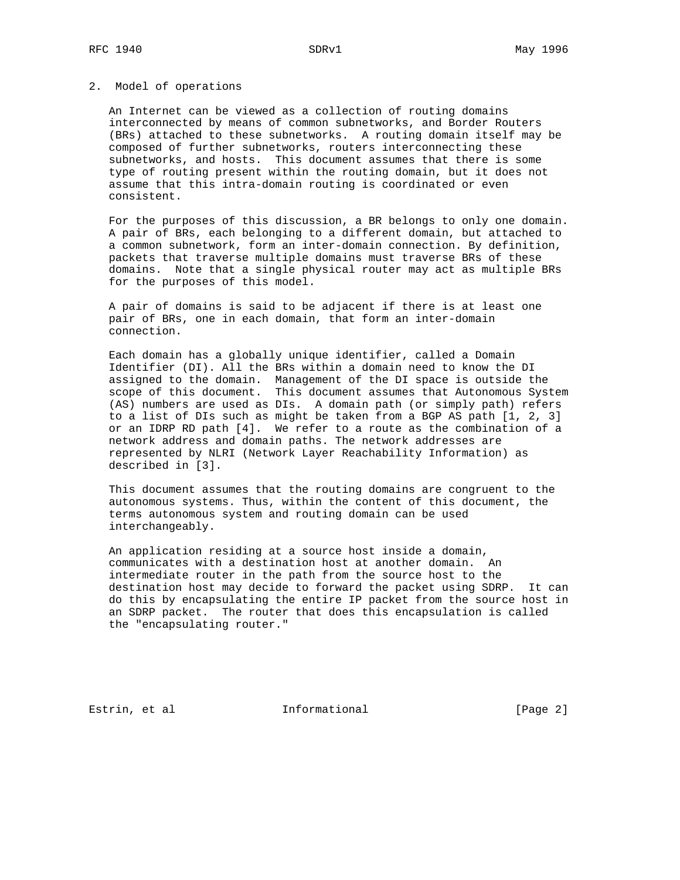# 2. Model of operations

 An Internet can be viewed as a collection of routing domains interconnected by means of common subnetworks, and Border Routers (BRs) attached to these subnetworks. A routing domain itself may be composed of further subnetworks, routers interconnecting these subnetworks, and hosts. This document assumes that there is some type of routing present within the routing domain, but it does not assume that this intra-domain routing is coordinated or even consistent.

 For the purposes of this discussion, a BR belongs to only one domain. A pair of BRs, each belonging to a different domain, but attached to a common subnetwork, form an inter-domain connection. By definition, packets that traverse multiple domains must traverse BRs of these domains. Note that a single physical router may act as multiple BRs for the purposes of this model.

 A pair of domains is said to be adjacent if there is at least one pair of BRs, one in each domain, that form an inter-domain connection.

 Each domain has a globally unique identifier, called a Domain Identifier (DI). All the BRs within a domain need to know the DI assigned to the domain. Management of the DI space is outside the scope of this document. This document assumes that Autonomous System (AS) numbers are used as DIs. A domain path (or simply path) refers to a list of DIs such as might be taken from a BGP AS path [1, 2, 3] or an IDRP RD path [4]. We refer to a route as the combination of a network address and domain paths. The network addresses are represented by NLRI (Network Layer Reachability Information) as described in [3].

 This document assumes that the routing domains are congruent to the autonomous systems. Thus, within the content of this document, the terms autonomous system and routing domain can be used interchangeably.

 An application residing at a source host inside a domain, communicates with a destination host at another domain. An intermediate router in the path from the source host to the destination host may decide to forward the packet using SDRP. It can do this by encapsulating the entire IP packet from the source host in an SDRP packet. The router that does this encapsulation is called the "encapsulating router."

Estrin, et al informational informational [Page 2]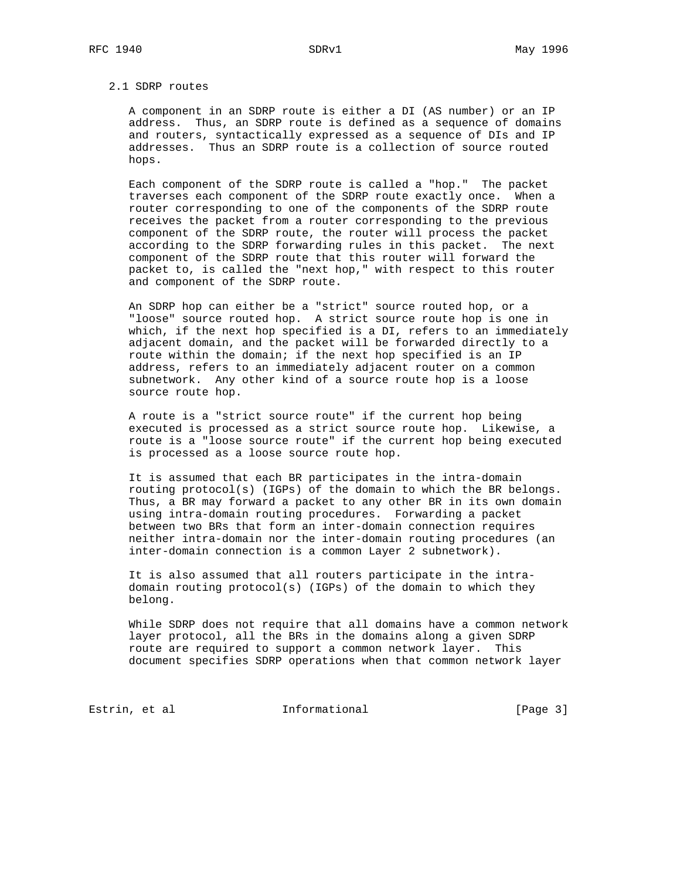#### 2.1 SDRP routes

 A component in an SDRP route is either a DI (AS number) or an IP address. Thus, an SDRP route is defined as a sequence of domains and routers, syntactically expressed as a sequence of DIs and IP addresses. Thus an SDRP route is a collection of source routed hops.

 Each component of the SDRP route is called a "hop." The packet traverses each component of the SDRP route exactly once. When a router corresponding to one of the components of the SDRP route receives the packet from a router corresponding to the previous component of the SDRP route, the router will process the packet according to the SDRP forwarding rules in this packet. The next component of the SDRP route that this router will forward the packet to, is called the "next hop," with respect to this router and component of the SDRP route.

 An SDRP hop can either be a "strict" source routed hop, or a "loose" source routed hop. A strict source route hop is one in which, if the next hop specified is a DI, refers to an immediately adjacent domain, and the packet will be forwarded directly to a route within the domain; if the next hop specified is an IP address, refers to an immediately adjacent router on a common subnetwork. Any other kind of a source route hop is a loose source route hop.

 A route is a "strict source route" if the current hop being executed is processed as a strict source route hop. Likewise, a route is a "loose source route" if the current hop being executed is processed as a loose source route hop.

 It is assumed that each BR participates in the intra-domain routing protocol(s) (IGPs) of the domain to which the BR belongs. Thus, a BR may forward a packet to any other BR in its own domain using intra-domain routing procedures. Forwarding a packet between two BRs that form an inter-domain connection requires neither intra-domain nor the inter-domain routing procedures (an inter-domain connection is a common Layer 2 subnetwork).

 It is also assumed that all routers participate in the intra domain routing protocol(s) (IGPs) of the domain to which they belong.

 While SDRP does not require that all domains have a common network layer protocol, all the BRs in the domains along a given SDRP route are required to support a common network layer. This document specifies SDRP operations when that common network layer

Estrin, et al informational informational [Page 3]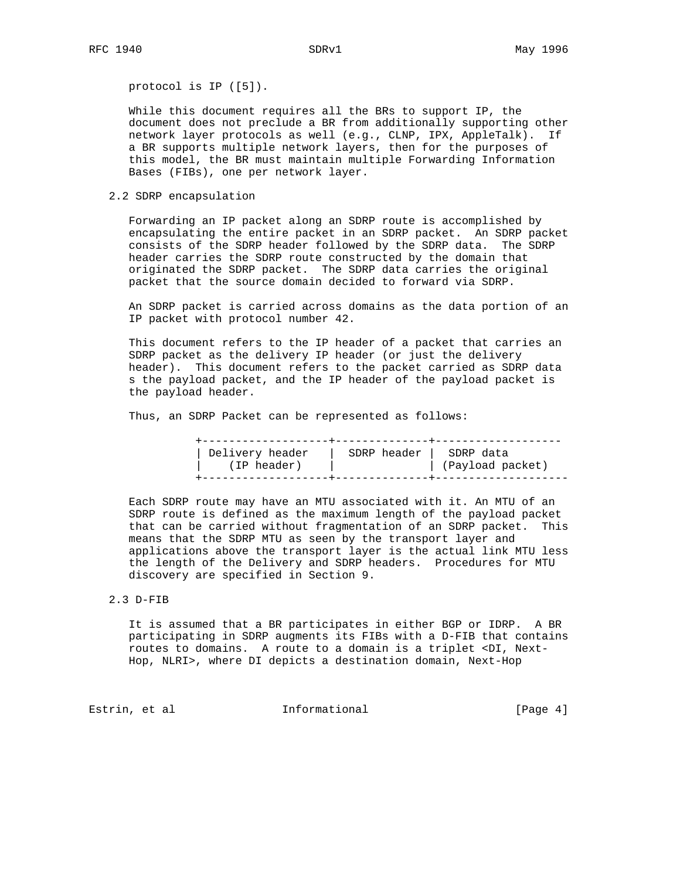protocol is IP ([5]).

 While this document requires all the BRs to support IP, the document does not preclude a BR from additionally supporting other network layer protocols as well (e.g., CLNP, IPX, AppleTalk). If a BR supports multiple network layers, then for the purposes of this model, the BR must maintain multiple Forwarding Information Bases (FIBs), one per network layer.

2.2 SDRP encapsulation

 Forwarding an IP packet along an SDRP route is accomplished by encapsulating the entire packet in an SDRP packet. An SDRP packet consists of the SDRP header followed by the SDRP data. The SDRP header carries the SDRP route constructed by the domain that originated the SDRP packet. The SDRP data carries the original packet that the source domain decided to forward via SDRP.

 An SDRP packet is carried across domains as the data portion of an IP packet with protocol number 42.

 This document refers to the IP header of a packet that carries an SDRP packet as the delivery IP header (or just the delivery header). This document refers to the packet carried as SDRP data s the payload packet, and the IP header of the payload packet is the payload header.

Thus, an SDRP Packet can be represented as follows:

| Delivery header<br>(IP header) | SDRP header   SDRP data | (Payload packet) |
|--------------------------------|-------------------------|------------------|
|                                |                         |                  |
|                                |                         |                  |

 Each SDRP route may have an MTU associated with it. An MTU of an SDRP route is defined as the maximum length of the payload packet that can be carried without fragmentation of an SDRP packet. This means that the SDRP MTU as seen by the transport layer and applications above the transport layer is the actual link MTU less the length of the Delivery and SDRP headers. Procedures for MTU discovery are specified in Section 9.

2.3 D-FIB

 It is assumed that a BR participates in either BGP or IDRP. A BR participating in SDRP augments its FIBs with a D-FIB that contains routes to domains. A route to a domain is a triplet <DI, Next- Hop, NLRI>, where DI depicts a destination domain, Next-Hop

Estrin, et al informational informational [Page 4]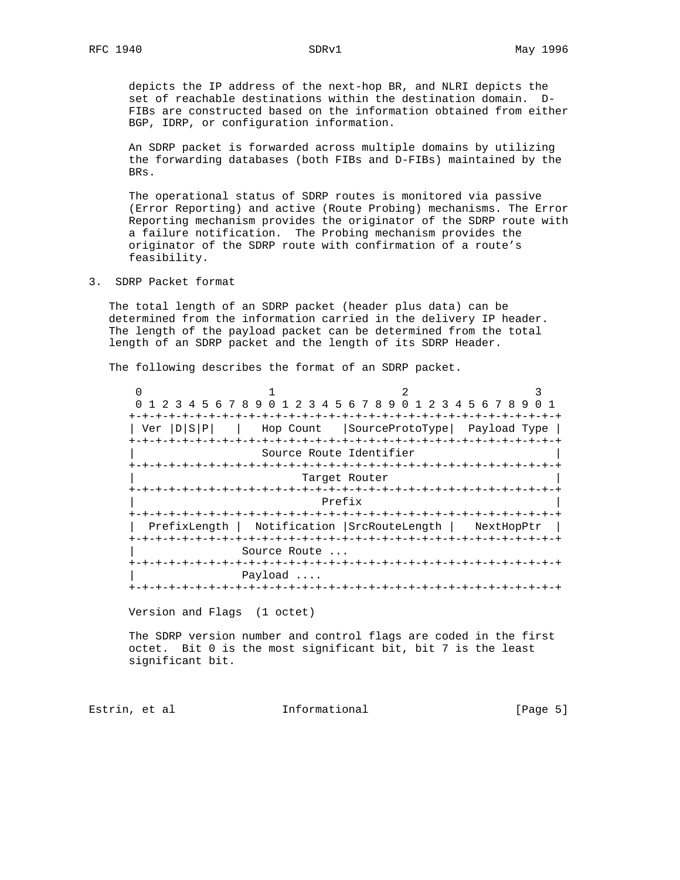depicts the IP address of the next-hop BR, and NLRI depicts the set of reachable destinations within the destination domain. D- FIBs are constructed based on the information obtained from either BGP, IDRP, or configuration information.

 An SDRP packet is forwarded across multiple domains by utilizing the forwarding databases (both FIBs and D-FIBs) maintained by the BRs.

 The operational status of SDRP routes is monitored via passive (Error Reporting) and active (Route Probing) mechanisms. The Error Reporting mechanism provides the originator of the SDRP route with a failure notification. The Probing mechanism provides the originator of the SDRP route with confirmation of a route's feasibility.

3. SDRP Packet format

 The total length of an SDRP packet (header plus data) can be determined from the information carried in the delivery IP header. The length of the payload packet can be determined from the total length of an SDRP packet and the length of its SDRP Header.

The following describes the format of an SDRP packet.

 $0$  1 2 3 0 1 2 3 4 5 6 7 8 9 0 1 2 3 4 5 6 7 8 9 0 1 2 3 4 5 6 7 8 9 0 1 +-+-+-+-+-+-+-+-+-+-+-+-+-+-+-+-+-+-+-+-+-+-+-+-+-+-+-+-+-+-+-+-+ | Ver |D|S|P| | Hop Count |SourceProtoType| Payload Type | +-+-+-+-+-+-+-+-+-+-+-+-+-+-+-+-+-+-+-+-+-+-+-+-+-+-+-+-+-+-+-+-+ Source Route Identifier +-+-+-+-+-+-+-+-+-+-+-+-+-+-+-+-+-+-+-+-+-+-+-+-+-+-+-+-+-+-+-+-+ Target Router +-+-+-+-+-+-+-+-+-+-+-+-+-+-+-+-+-+-+-+-+-+-+-+-+-+-+-+-+-+-+-+-+ | Prefix | Prefix | Prefix | Prefix | Prefix | Prefix | Prefix | Prefix | Prefix | Prefix | Prefix | Prefix | Prefix | Prefix | Prefix | Prefix | Prefix | Prefix | Prefix | Prefix | Prefix | Prefix | Prefix | Prefix | Pref +-+-+-+-+-+-+-+-+-+-+-+-+-+-+-+-+-+-+-+-+-+-+-+-+-+-+-+-+-+-+-+-+ | PrefixLength | Notification |SrcRouteLength | NextHopPtr | +-+-+-+-+-+-+-+-+-+-+-+-+-+-+-+-+-+-+-+-+-+-+-+-+-+-+-+-+-+-+-+-+ Source Route ... +-+-+-+-+-+-+-+-+-+-+-+-+-+-+-+-+-+-+-+-+-+-+-+-+-+-+-+-+-+-+-+-+ | Payload .... +-+-+-+-+-+-+-+-+-+-+-+-+-+-+-+-+-+-+-+-+-+-+-+-+-+-+-+-+-+-+-+-+

Version and Flags (1 octet)

 The SDRP version number and control flags are coded in the first octet. Bit 0 is the most significant bit, bit 7 is the least significant bit.

Estrin, et al informational informational [Page 5]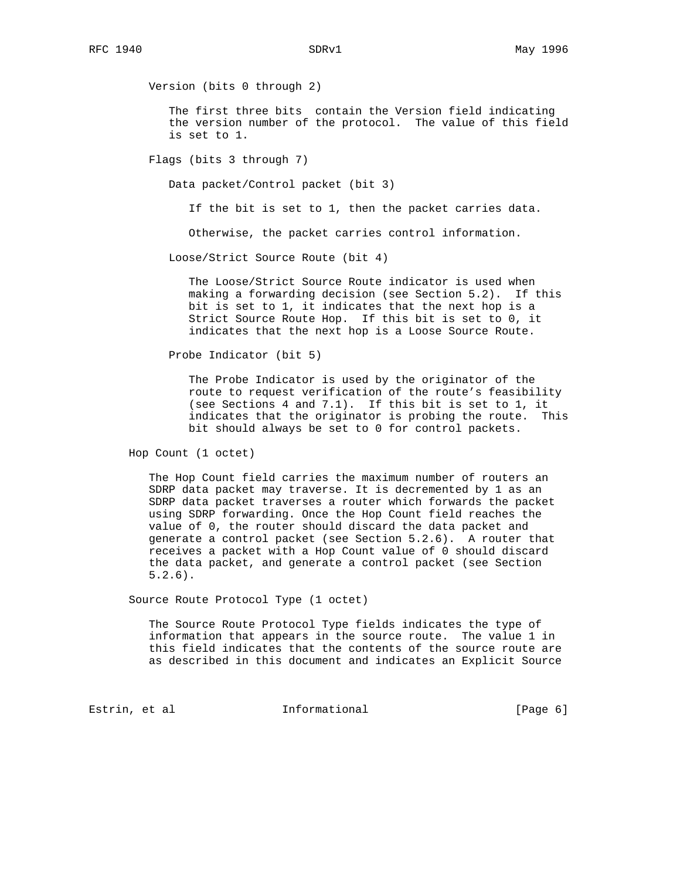Version (bits 0 through 2)

 The first three bits contain the Version field indicating the version number of the protocol. The value of this field is set to 1.

Flags (bits 3 through 7)

Data packet/Control packet (bit 3)

If the bit is set to 1, then the packet carries data.

Otherwise, the packet carries control information.

Loose/Strict Source Route (bit 4)

 The Loose/Strict Source Route indicator is used when making a forwarding decision (see Section 5.2). If this bit is set to 1, it indicates that the next hop is a Strict Source Route Hop. If this bit is set to 0, it indicates that the next hop is a Loose Source Route.

Probe Indicator (bit 5)

 The Probe Indicator is used by the originator of the route to request verification of the route's feasibility (see Sections 4 and 7.1). If this bit is set to 1, it indicates that the originator is probing the route. This bit should always be set to 0 for control packets.

Hop Count (1 octet)

 The Hop Count field carries the maximum number of routers an SDRP data packet may traverse. It is decremented by 1 as an SDRP data packet traverses a router which forwards the packet using SDRP forwarding. Once the Hop Count field reaches the value of 0, the router should discard the data packet and generate a control packet (see Section 5.2.6). A router that receives a packet with a Hop Count value of 0 should discard the data packet, and generate a control packet (see Section 5.2.6).

Source Route Protocol Type (1 octet)

 The Source Route Protocol Type fields indicates the type of information that appears in the source route. The value 1 in this field indicates that the contents of the source route are as described in this document and indicates an Explicit Source

Estrin, et al informational [Page 6]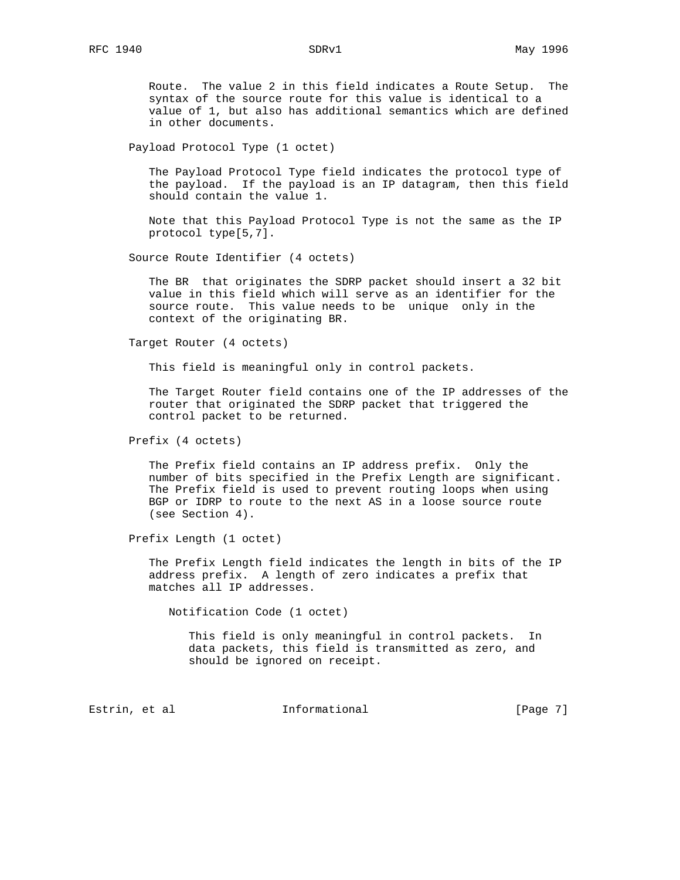Route. The value 2 in this field indicates a Route Setup. The syntax of the source route for this value is identical to a value of 1, but also has additional semantics which are defined in other documents.

Payload Protocol Type (1 octet)

 The Payload Protocol Type field indicates the protocol type of the payload. If the payload is an IP datagram, then this field should contain the value 1.

 Note that this Payload Protocol Type is not the same as the IP protocol type[5,7].

Source Route Identifier (4 octets)

 The BR that originates the SDRP packet should insert a 32 bit value in this field which will serve as an identifier for the source route. This value needs to be unique only in the context of the originating BR.

Target Router (4 octets)

This field is meaningful only in control packets.

 The Target Router field contains one of the IP addresses of the router that originated the SDRP packet that triggered the control packet to be returned.

Prefix (4 octets)

 The Prefix field contains an IP address prefix. Only the number of bits specified in the Prefix Length are significant. The Prefix field is used to prevent routing loops when using BGP or IDRP to route to the next AS in a loose source route (see Section 4).

Prefix Length (1 octet)

 The Prefix Length field indicates the length in bits of the IP address prefix. A length of zero indicates a prefix that matches all IP addresses.

Notification Code (1 octet)

 This field is only meaningful in control packets. In data packets, this field is transmitted as zero, and should be ignored on receipt.

Estrin, et al informational informational [Page 7]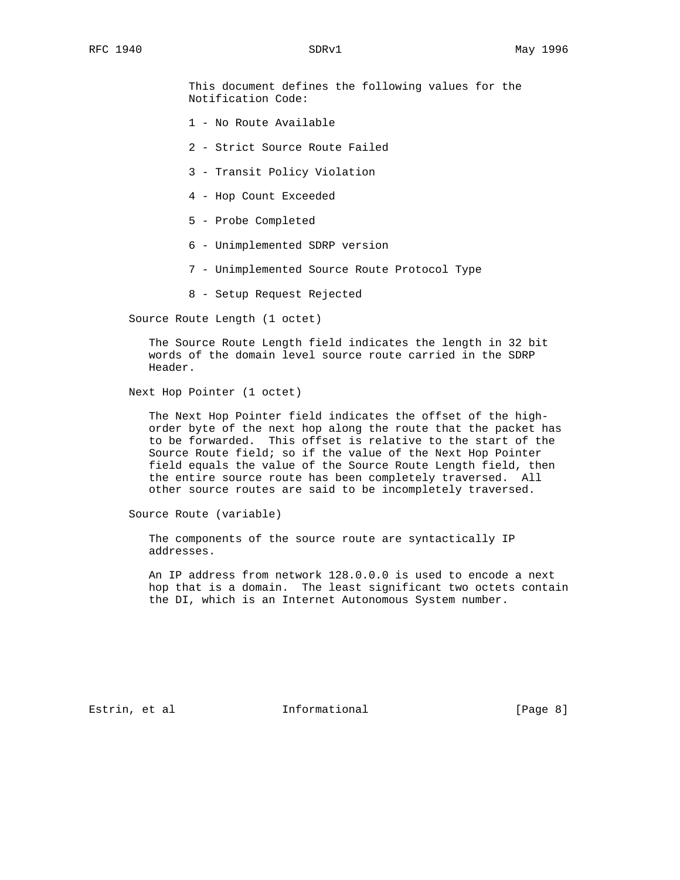This document defines the following values for the Notification Code:

- 1 No Route Available
- 2 Strict Source Route Failed
- 3 Transit Policy Violation
- 4 Hop Count Exceeded
- 5 Probe Completed
- 6 Unimplemented SDRP version
- 7 Unimplemented Source Route Protocol Type
- 8 Setup Request Rejected

Source Route Length (1 octet)

 The Source Route Length field indicates the length in 32 bit words of the domain level source route carried in the SDRP Header.

Next Hop Pointer (1 octet)

 The Next Hop Pointer field indicates the offset of the high order byte of the next hop along the route that the packet has to be forwarded. This offset is relative to the start of the Source Route field; so if the value of the Next Hop Pointer field equals the value of the Source Route Length field, then the entire source route has been completely traversed. All other source routes are said to be incompletely traversed.

Source Route (variable)

 The components of the source route are syntactically IP addresses.

 An IP address from network 128.0.0.0 is used to encode a next hop that is a domain. The least significant two octets contain the DI, which is an Internet Autonomous System number.

Estrin, et al informational informational [Page 8]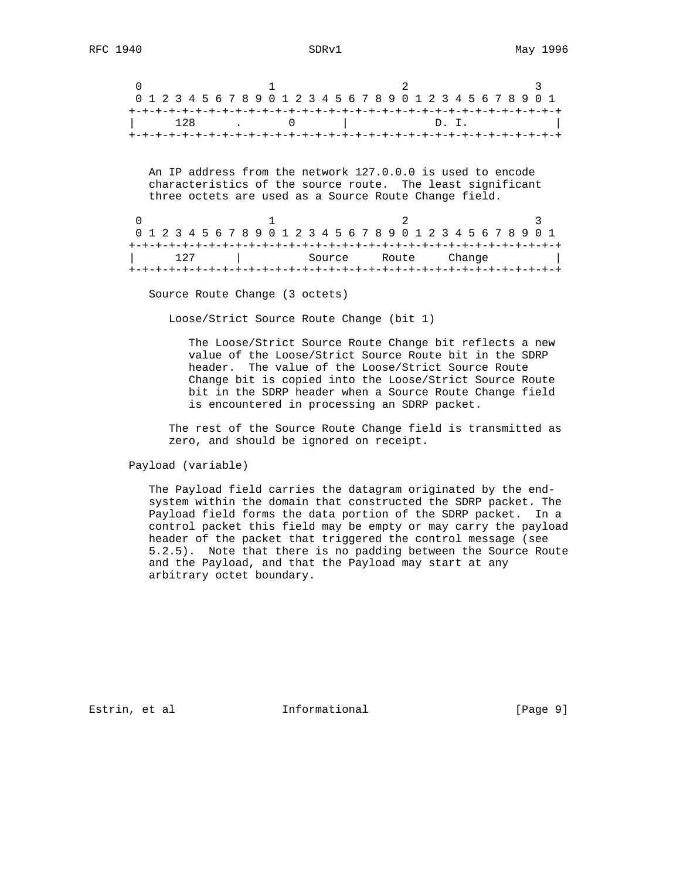| 0 1 2 3 4 5 6 7 8 9 0 1 2 3 4 5 6 7 8 9 0 1 2 3 4 5 6 7 8 9 0 1 |  |  |  |  |  |  |  |  |  |  |  |  |           |  |  |  |  |  |  |  |      |  |  |  |  |  |  |  |  |  |  |  |  |
|-----------------------------------------------------------------|--|--|--|--|--|--|--|--|--|--|--|--|-----------|--|--|--|--|--|--|--|------|--|--|--|--|--|--|--|--|--|--|--|--|
|                                                                 |  |  |  |  |  |  |  |  |  |  |  |  |           |  |  |  |  |  |  |  |      |  |  |  |  |  |  |  |  |  |  |  |  |
|                                                                 |  |  |  |  |  |  |  |  |  |  |  |  | $128$ . 0 |  |  |  |  |  |  |  | D.I. |  |  |  |  |  |  |  |  |  |  |  |  |
|                                                                 |  |  |  |  |  |  |  |  |  |  |  |  |           |  |  |  |  |  |  |  |      |  |  |  |  |  |  |  |  |  |  |  |  |

 An IP address from the network 127.0.0.0 is used to encode characteristics of the source route. The least significant three octets are used as a Source Route Change field.

| 0 1 2 3 4 5 6 7 8 9 0 1 2 3 4 5 6 7 8 9 0 1 2 3 4 5 6 7 8 9 0 1 |  |     |  |  |  |  |  |  |  |  |        |  |  |  |       |  |  |  |        |  |  |  |  |  |  |  |  |  |  |
|-----------------------------------------------------------------|--|-----|--|--|--|--|--|--|--|--|--------|--|--|--|-------|--|--|--|--------|--|--|--|--|--|--|--|--|--|--|
|                                                                 |  |     |  |  |  |  |  |  |  |  |        |  |  |  |       |  |  |  |        |  |  |  |  |  |  |  |  |  |  |
|                                                                 |  | 127 |  |  |  |  |  |  |  |  | Source |  |  |  | Route |  |  |  | Change |  |  |  |  |  |  |  |  |  |  |
|                                                                 |  |     |  |  |  |  |  |  |  |  |        |  |  |  |       |  |  |  |        |  |  |  |  |  |  |  |  |  |  |

Source Route Change (3 octets)

Loose/Strict Source Route Change (bit 1)

 The Loose/Strict Source Route Change bit reflects a new value of the Loose/Strict Source Route bit in the SDRP header. The value of the Loose/Strict Source Route Change bit is copied into the Loose/Strict Source Route bit in the SDRP header when a Source Route Change field is encountered in processing an SDRP packet.

 The rest of the Source Route Change field is transmitted as zero, and should be ignored on receipt.

Payload (variable)

 The Payload field carries the datagram originated by the end system within the domain that constructed the SDRP packet. The Payload field forms the data portion of the SDRP packet. In a control packet this field may be empty or may carry the payload header of the packet that triggered the control message (see 5.2.5). Note that there is no padding between the Source Route and the Payload, and that the Payload may start at any arbitrary octet boundary.

Estrin, et al **Informational** [Page 9]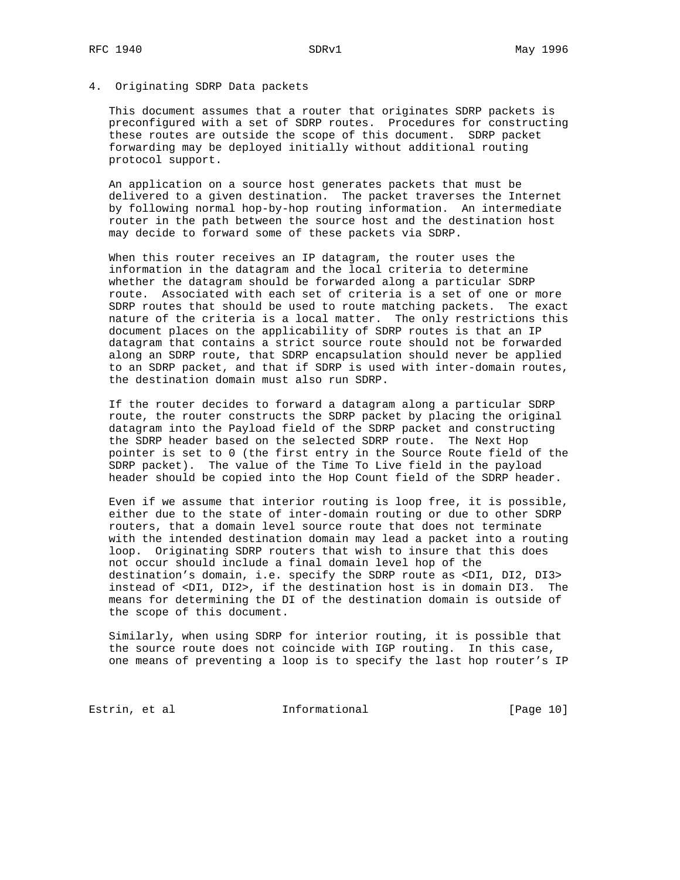# 4. Originating SDRP Data packets

 This document assumes that a router that originates SDRP packets is preconfigured with a set of SDRP routes. Procedures for constructing these routes are outside the scope of this document. SDRP packet forwarding may be deployed initially without additional routing protocol support.

 An application on a source host generates packets that must be delivered to a given destination. The packet traverses the Internet by following normal hop-by-hop routing information. An intermediate router in the path between the source host and the destination host may decide to forward some of these packets via SDRP.

 When this router receives an IP datagram, the router uses the information in the datagram and the local criteria to determine whether the datagram should be forwarded along a particular SDRP route. Associated with each set of criteria is a set of one or more SDRP routes that should be used to route matching packets. The exact nature of the criteria is a local matter. The only restrictions this document places on the applicability of SDRP routes is that an IP datagram that contains a strict source route should not be forwarded along an SDRP route, that SDRP encapsulation should never be applied to an SDRP packet, and that if SDRP is used with inter-domain routes, the destination domain must also run SDRP.

 If the router decides to forward a datagram along a particular SDRP route, the router constructs the SDRP packet by placing the original datagram into the Payload field of the SDRP packet and constructing the SDRP header based on the selected SDRP route. The Next Hop pointer is set to 0 (the first entry in the Source Route field of the SDRP packet). The value of the Time To Live field in the payload header should be copied into the Hop Count field of the SDRP header.

 Even if we assume that interior routing is loop free, it is possible, either due to the state of inter-domain routing or due to other SDRP routers, that a domain level source route that does not terminate with the intended destination domain may lead a packet into a routing loop. Originating SDRP routers that wish to insure that this does not occur should include a final domain level hop of the destination's domain, i.e. specify the SDRP route as <DI1, DI2, DI3> instead of <DI1, DI2>, if the destination host is in domain DI3. The means for determining the DI of the destination domain is outside of the scope of this document.

 Similarly, when using SDRP for interior routing, it is possible that the source route does not coincide with IGP routing. In this case, one means of preventing a loop is to specify the last hop router's IP

Estrin, et al informational [Page 10]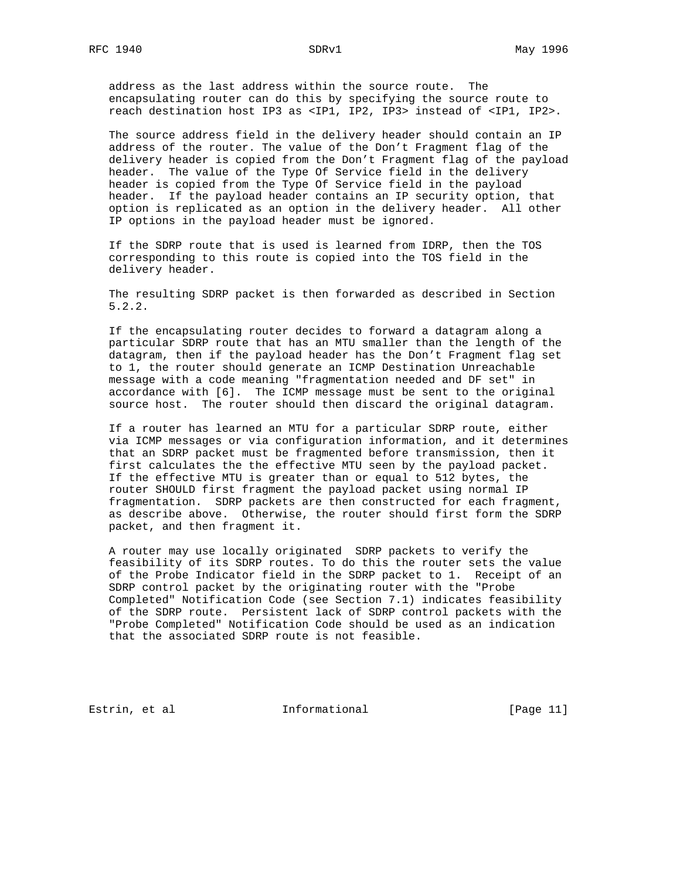address as the last address within the source route. The encapsulating router can do this by specifying the source route to reach destination host IP3 as <IP1, IP2, IP3> instead of <IP1, IP2>.

 The source address field in the delivery header should contain an IP address of the router. The value of the Don't Fragment flag of the delivery header is copied from the Don't Fragment flag of the payload header. The value of the Type Of Service field in the delivery header is copied from the Type Of Service field in the payload header. If the payload header contains an IP security option, that option is replicated as an option in the delivery header. All other IP options in the payload header must be ignored.

 If the SDRP route that is used is learned from IDRP, then the TOS corresponding to this route is copied into the TOS field in the delivery header.

 The resulting SDRP packet is then forwarded as described in Section 5.2.2.

 If the encapsulating router decides to forward a datagram along a particular SDRP route that has an MTU smaller than the length of the datagram, then if the payload header has the Don't Fragment flag set to 1, the router should generate an ICMP Destination Unreachable message with a code meaning "fragmentation needed and DF set" in accordance with [6]. The ICMP message must be sent to the original source host. The router should then discard the original datagram.

 If a router has learned an MTU for a particular SDRP route, either via ICMP messages or via configuration information, and it determines that an SDRP packet must be fragmented before transmission, then it first calculates the the effective MTU seen by the payload packet. If the effective MTU is greater than or equal to 512 bytes, the router SHOULD first fragment the payload packet using normal IP fragmentation. SDRP packets are then constructed for each fragment, as describe above. Otherwise, the router should first form the SDRP packet, and then fragment it.

 A router may use locally originated SDRP packets to verify the feasibility of its SDRP routes. To do this the router sets the value of the Probe Indicator field in the SDRP packet to 1. Receipt of an SDRP control packet by the originating router with the "Probe Completed" Notification Code (see Section 7.1) indicates feasibility of the SDRP route. Persistent lack of SDRP control packets with the "Probe Completed" Notification Code should be used as an indication that the associated SDRP route is not feasible.

Estrin, et al informational [Page 11]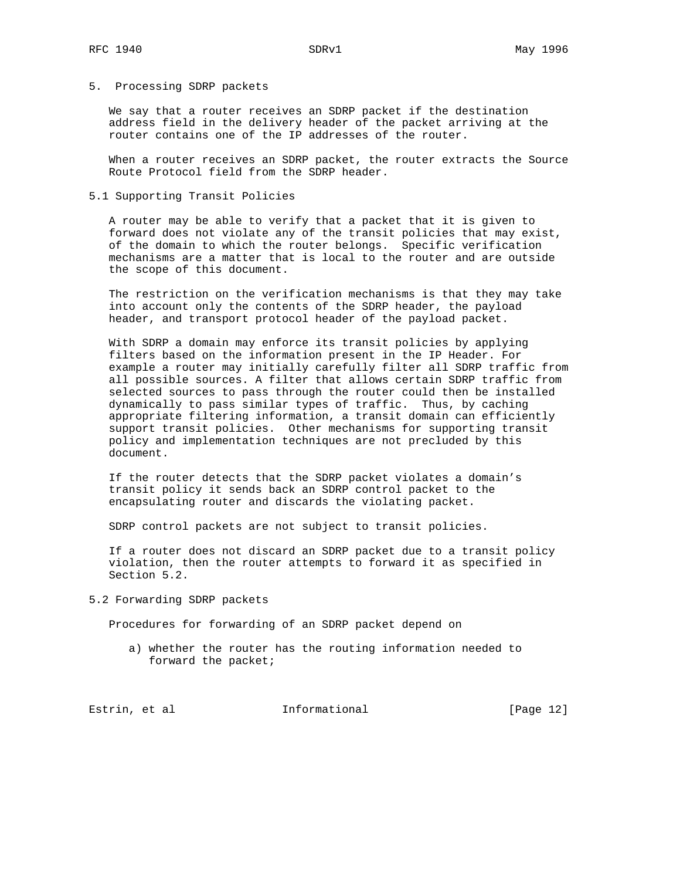# 5. Processing SDRP packets

 We say that a router receives an SDRP packet if the destination address field in the delivery header of the packet arriving at the router contains one of the IP addresses of the router.

 When a router receives an SDRP packet, the router extracts the Source Route Protocol field from the SDRP header.

# 5.1 Supporting Transit Policies

 A router may be able to verify that a packet that it is given to forward does not violate any of the transit policies that may exist, of the domain to which the router belongs. Specific verification mechanisms are a matter that is local to the router and are outside the scope of this document.

 The restriction on the verification mechanisms is that they may take into account only the contents of the SDRP header, the payload header, and transport protocol header of the payload packet.

 With SDRP a domain may enforce its transit policies by applying filters based on the information present in the IP Header. For example a router may initially carefully filter all SDRP traffic from all possible sources. A filter that allows certain SDRP traffic from selected sources to pass through the router could then be installed dynamically to pass similar types of traffic. Thus, by caching appropriate filtering information, a transit domain can efficiently support transit policies. Other mechanisms for supporting transit policy and implementation techniques are not precluded by this document.

 If the router detects that the SDRP packet violates a domain's transit policy it sends back an SDRP control packet to the encapsulating router and discards the violating packet.

SDRP control packets are not subject to transit policies.

 If a router does not discard an SDRP packet due to a transit policy violation, then the router attempts to forward it as specified in Section 5.2.

# 5.2 Forwarding SDRP packets

Procedures for forwarding of an SDRP packet depend on

 a) whether the router has the routing information needed to forward the packet;

Estrin, et al informational informational [Page 12]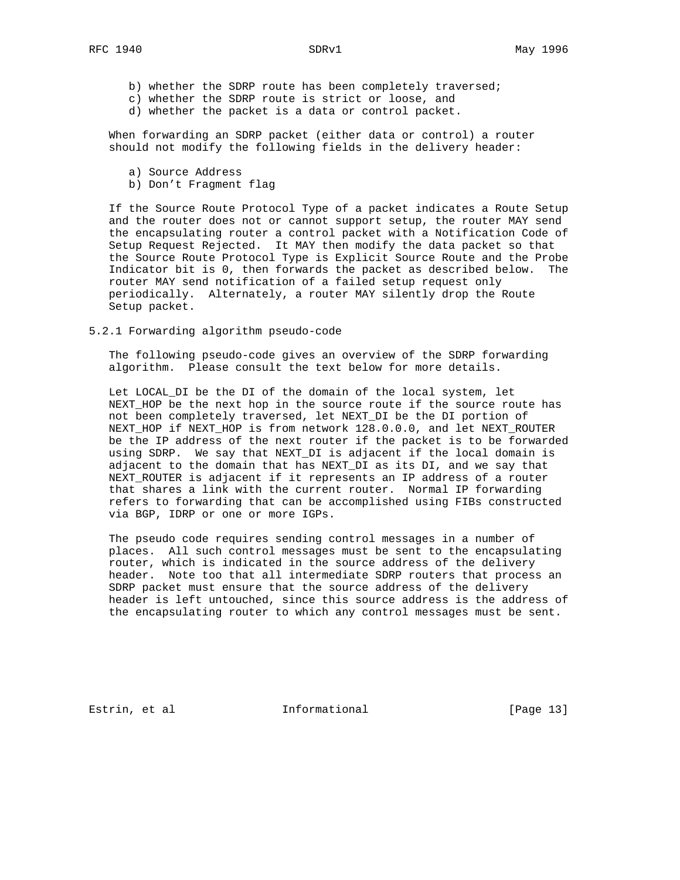b) whether the SDRP route has been completely traversed;

- c) whether the SDRP route is strict or loose, and
- d) whether the packet is a data or control packet.

 When forwarding an SDRP packet (either data or control) a router should not modify the following fields in the delivery header:

- a) Source Address
- b) Don't Fragment flag

 If the Source Route Protocol Type of a packet indicates a Route Setup and the router does not or cannot support setup, the router MAY send the encapsulating router a control packet with a Notification Code of Setup Request Rejected. It MAY then modify the data packet so that the Source Route Protocol Type is Explicit Source Route and the Probe Indicator bit is 0, then forwards the packet as described below. The router MAY send notification of a failed setup request only periodically. Alternately, a router MAY silently drop the Route Setup packet.

5.2.1 Forwarding algorithm pseudo-code

 The following pseudo-code gives an overview of the SDRP forwarding algorithm. Please consult the text below for more details.

 Let LOCAL\_DI be the DI of the domain of the local system, let NEXT\_HOP be the next hop in the source route if the source route has not been completely traversed, let NEXT\_DI be the DI portion of NEXT\_HOP if NEXT\_HOP is from network 128.0.0.0, and let NEXT\_ROUTER be the IP address of the next router if the packet is to be forwarded using SDRP. We say that NEXT\_DI is adjacent if the local domain is adjacent to the domain that has NEXT\_DI as its DI, and we say that NEXT\_ROUTER is adjacent if it represents an IP address of a router that shares a link with the current router. Normal IP forwarding refers to forwarding that can be accomplished using FIBs constructed via BGP, IDRP or one or more IGPs.

 The pseudo code requires sending control messages in a number of places. All such control messages must be sent to the encapsulating router, which is indicated in the source address of the delivery header. Note too that all intermediate SDRP routers that process an SDRP packet must ensure that the source address of the delivery header is left untouched, since this source address is the address of the encapsulating router to which any control messages must be sent.

Estrin, et al informational [Page 13]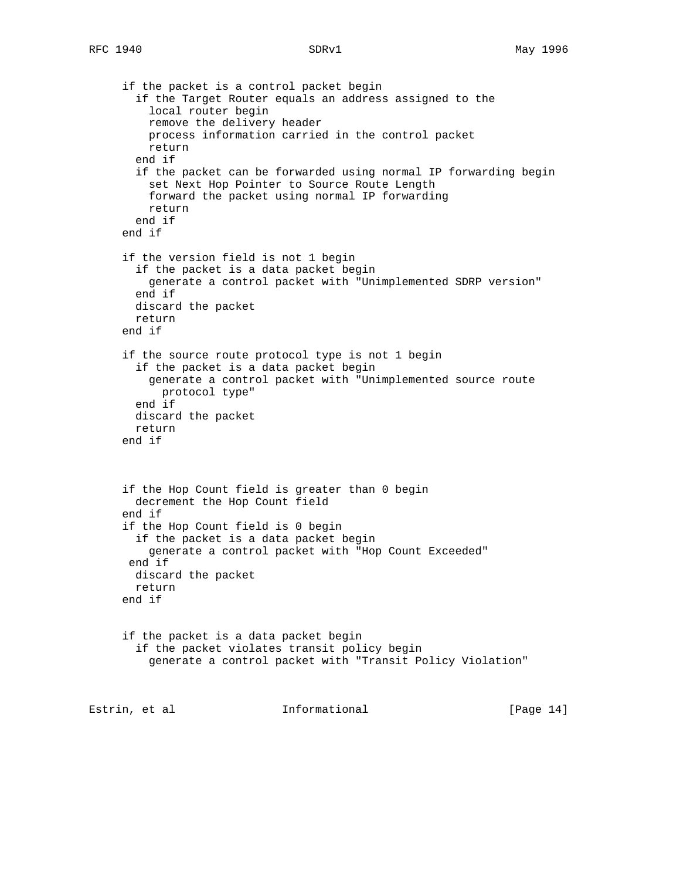```
 if the packet is a control packet begin
        if the Target Router equals an address assigned to the
          local router begin
         remove the delivery header
         process information carried in the control packet
         return
        end if
        if the packet can be forwarded using normal IP forwarding begin
         set Next Hop Pointer to Source Route Length
         forward the packet using normal IP forwarding
         return
       end if
      end if
      if the version field is not 1 begin
        if the packet is a data packet begin
         generate a control packet with "Unimplemented SDRP version"
        end if
       discard the packet
       return
     end if
      if the source route protocol type is not 1 begin
        if the packet is a data packet begin
          generate a control packet with "Unimplemented source route
           protocol type"
       end if
       discard the packet
       return
      end if
      if the Hop Count field is greater than 0 begin
       decrement the Hop Count field
      end if
      if the Hop Count field is 0 begin
        if the packet is a data packet begin
         generate a control packet with "Hop Count Exceeded"
       end if
       discard the packet
       return
     end if
      if the packet is a data packet begin
        if the packet violates transit policy begin
          generate a control packet with "Transit Policy Violation"
Estrin, et al informational [Page 14]
```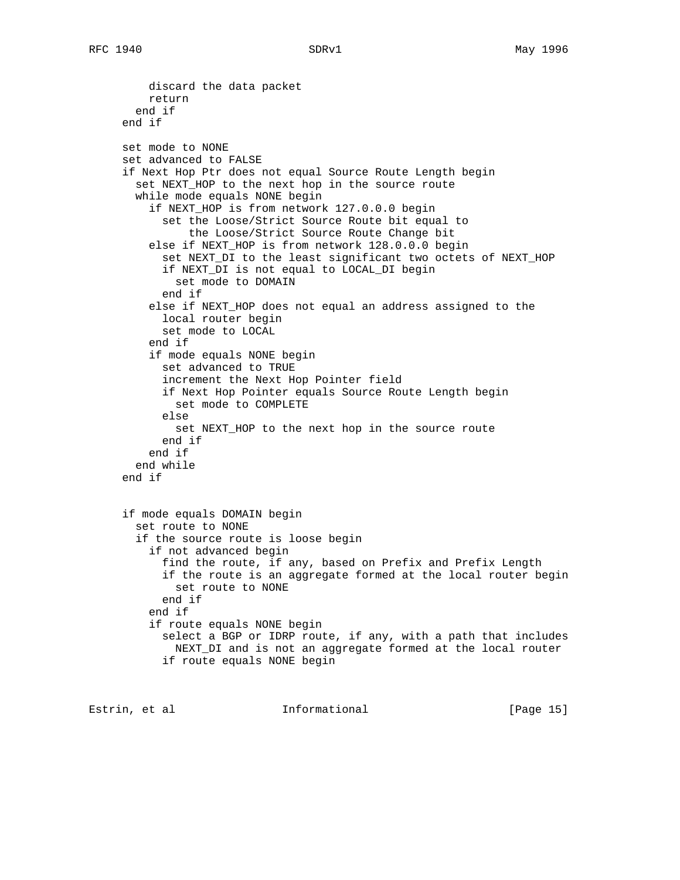```
 discard the data packet
     return
   end if
 end if
 set mode to NONE
 set advanced to FALSE
 if Next Hop Ptr does not equal Source Route Length begin
   set NEXT_HOP to the next hop in the source route
  while mode equals NONE begin
     if NEXT_HOP is from network 127.0.0.0 begin
       set the Loose/Strict Source Route bit equal to
           the Loose/Strict Source Route Change bit
     else if NEXT_HOP is from network 128.0.0.0 begin
       set NEXT_DI to the least significant two octets of NEXT_HOP
       if NEXT_DI is not equal to LOCAL_DI begin
         set mode to DOMAIN
       end if
     else if NEXT_HOP does not equal an address assigned to the
       local router begin
       set mode to LOCAL
     end if
     if mode equals NONE begin
       set advanced to TRUE
       increment the Next Hop Pointer field
       if Next Hop Pointer equals Source Route Length begin
         set mode to COMPLETE
       else
         set NEXT_HOP to the next hop in the source route
       end if
     end if
   end while
 end if
 if mode equals DOMAIN begin
   set route to NONE
   if the source route is loose begin
     if not advanced begin
       find the route, if any, based on Prefix and Prefix Length
       if the route is an aggregate formed at the local router begin
         set route to NONE
       end if
     end if
     if route equals NONE begin
       select a BGP or IDRP route, if any, with a path that includes
         NEXT_DI and is not an aggregate formed at the local router
       if route equals NONE begin
```
Estrin, et al informational [Page 15]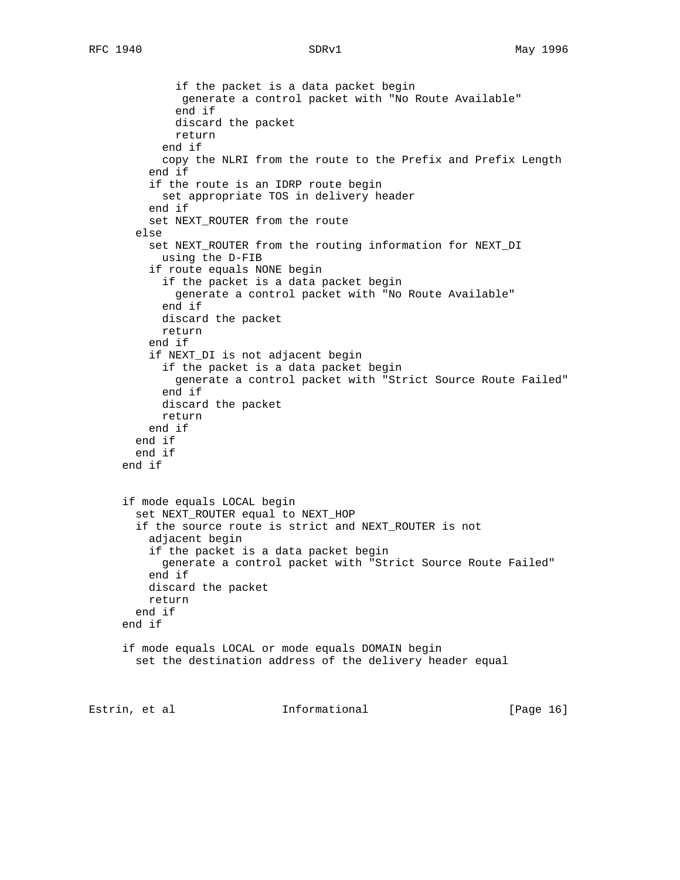```
 if the packet is a data packet begin
               generate a control packet with "No Route Available"
              end if
              discard the packet
              return
            end if
            copy the NLRI from the route to the Prefix and Prefix Length
          end if
          if the route is an IDRP route begin
            set appropriate TOS in delivery header
          end if
          set NEXT_ROUTER from the route
        else
          set NEXT_ROUTER from the routing information for NEXT_DI
            using the D-FIB
          if route equals NONE begin
            if the packet is a data packet begin
              generate a control packet with "No Route Available"
            end if
            discard the packet
            return
          end if
          if NEXT_DI is not adjacent begin
            if the packet is a data packet begin
              generate a control packet with "Strict Source Route Failed"
            end if
            discard the packet
            return
          end if
        end if
        end if
      end if
      if mode equals LOCAL begin
        set NEXT_ROUTER equal to NEXT_HOP
        if the source route is strict and NEXT_ROUTER is not
          adjacent begin
          if the packet is a data packet begin
            generate a control packet with "Strict Source Route Failed"
          end if
          discard the packet
         return
       end if
      end if
      if mode equals LOCAL or mode equals DOMAIN begin
        set the destination address of the delivery header equal
Estrin, et al informational [Page 16]
```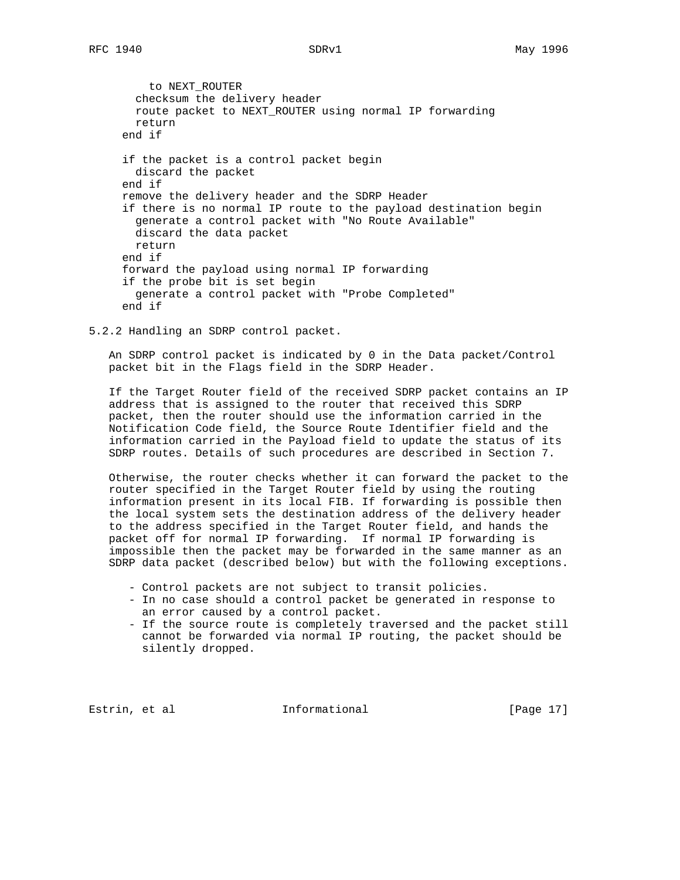to NEXT\_ROUTER checksum the delivery header route packet to NEXT\_ROUTER using normal IP forwarding return end if if the packet is a control packet begin discard the packet end if remove the delivery header and the SDRP Header if there is no normal IP route to the payload destination begin generate a control packet with "No Route Available" discard the data packet return end if forward the payload using normal IP forwarding if the probe bit is set begin generate a control packet with "Probe Completed" end if

5.2.2 Handling an SDRP control packet.

 An SDRP control packet is indicated by 0 in the Data packet/Control packet bit in the Flags field in the SDRP Header.

 If the Target Router field of the received SDRP packet contains an IP address that is assigned to the router that received this SDRP packet, then the router should use the information carried in the Notification Code field, the Source Route Identifier field and the information carried in the Payload field to update the status of its SDRP routes. Details of such procedures are described in Section 7.

 Otherwise, the router checks whether it can forward the packet to the router specified in the Target Router field by using the routing information present in its local FIB. If forwarding is possible then the local system sets the destination address of the delivery header to the address specified in the Target Router field, and hands the packet off for normal IP forwarding. If normal IP forwarding is impossible then the packet may be forwarded in the same manner as an SDRP data packet (described below) but with the following exceptions.

- Control packets are not subject to transit policies.
- In no case should a control packet be generated in response to an error caused by a control packet.
- If the source route is completely traversed and the packet still cannot be forwarded via normal IP routing, the packet should be silently dropped.

Estrin, et al informational informational [Page 17]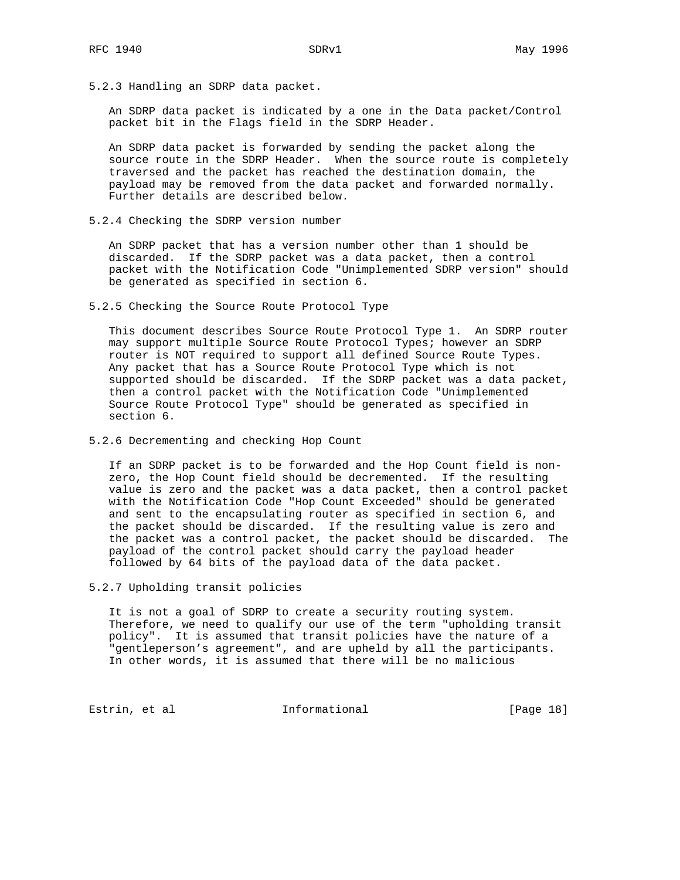5.2.3 Handling an SDRP data packet.

 An SDRP data packet is indicated by a one in the Data packet/Control packet bit in the Flags field in the SDRP Header.

 An SDRP data packet is forwarded by sending the packet along the source route in the SDRP Header. When the source route is completely traversed and the packet has reached the destination domain, the payload may be removed from the data packet and forwarded normally. Further details are described below.

5.2.4 Checking the SDRP version number

 An SDRP packet that has a version number other than 1 should be discarded. If the SDRP packet was a data packet, then a control packet with the Notification Code "Unimplemented SDRP version" should be generated as specified in section 6.

5.2.5 Checking the Source Route Protocol Type

 This document describes Source Route Protocol Type 1. An SDRP router may support multiple Source Route Protocol Types; however an SDRP router is NOT required to support all defined Source Route Types. Any packet that has a Source Route Protocol Type which is not supported should be discarded. If the SDRP packet was a data packet, then a control packet with the Notification Code "Unimplemented Source Route Protocol Type" should be generated as specified in section 6.

5.2.6 Decrementing and checking Hop Count

 If an SDRP packet is to be forwarded and the Hop Count field is non zero, the Hop Count field should be decremented. If the resulting value is zero and the packet was a data packet, then a control packet with the Notification Code "Hop Count Exceeded" should be generated and sent to the encapsulating router as specified in section 6, and the packet should be discarded. If the resulting value is zero and the packet was a control packet, the packet should be discarded. The payload of the control packet should carry the payload header followed by 64 bits of the payload data of the data packet.

5.2.7 Upholding transit policies

 It is not a goal of SDRP to create a security routing system. Therefore, we need to qualify our use of the term "upholding transit policy". It is assumed that transit policies have the nature of a "gentleperson's agreement", and are upheld by all the participants. In other words, it is assumed that there will be no malicious

Estrin, et al informational [Page 18]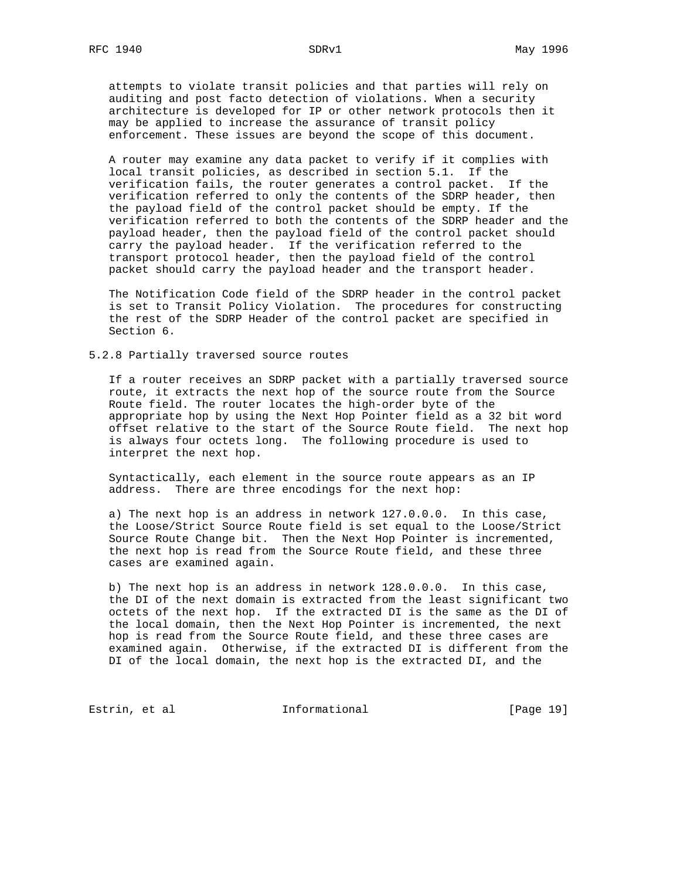attempts to violate transit policies and that parties will rely on auditing and post facto detection of violations. When a security architecture is developed for IP or other network protocols then it may be applied to increase the assurance of transit policy enforcement. These issues are beyond the scope of this document.

 A router may examine any data packet to verify if it complies with local transit policies, as described in section 5.1. If the verification fails, the router generates a control packet. If the verification referred to only the contents of the SDRP header, then the payload field of the control packet should be empty. If the verification referred to both the contents of the SDRP header and the payload header, then the payload field of the control packet should carry the payload header. If the verification referred to the transport protocol header, then the payload field of the control packet should carry the payload header and the transport header.

 The Notification Code field of the SDRP header in the control packet is set to Transit Policy Violation. The procedures for constructing the rest of the SDRP Header of the control packet are specified in Section 6.

5.2.8 Partially traversed source routes

 If a router receives an SDRP packet with a partially traversed source route, it extracts the next hop of the source route from the Source Route field. The router locates the high-order byte of the appropriate hop by using the Next Hop Pointer field as a 32 bit word offset relative to the start of the Source Route field. The next hop is always four octets long. The following procedure is used to interpret the next hop.

 Syntactically, each element in the source route appears as an IP address. There are three encodings for the next hop:

 a) The next hop is an address in network 127.0.0.0. In this case, the Loose/Strict Source Route field is set equal to the Loose/Strict Source Route Change bit. Then the Next Hop Pointer is incremented, the next hop is read from the Source Route field, and these three cases are examined again.

 b) The next hop is an address in network 128.0.0.0. In this case, the DI of the next domain is extracted from the least significant two octets of the next hop. If the extracted DI is the same as the DI of the local domain, then the Next Hop Pointer is incremented, the next hop is read from the Source Route field, and these three cases are examined again. Otherwise, if the extracted DI is different from the DI of the local domain, the next hop is the extracted DI, and the

Estrin, et al **Informational** [Page 19]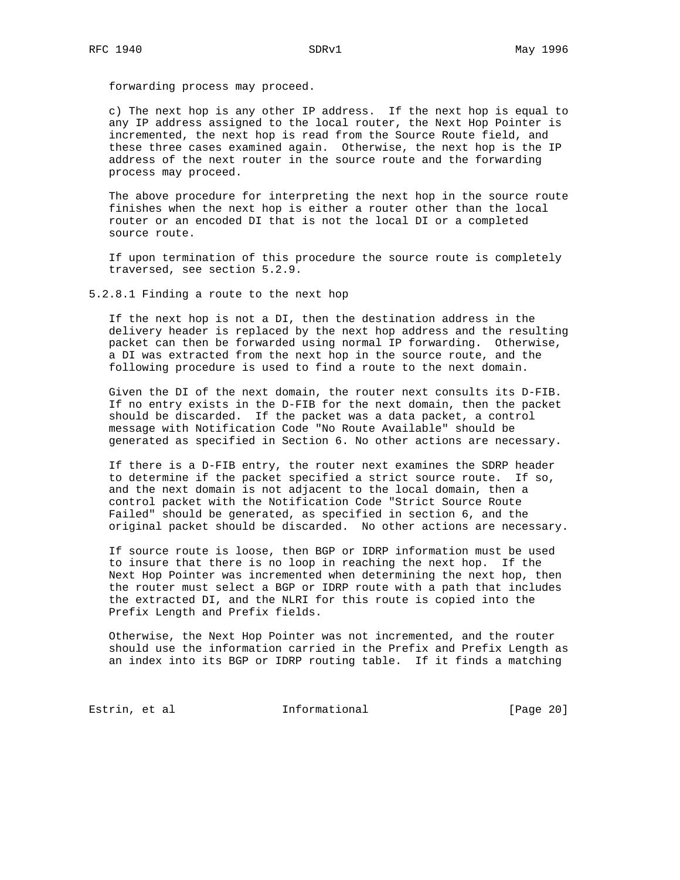forwarding process may proceed.

 c) The next hop is any other IP address. If the next hop is equal to any IP address assigned to the local router, the Next Hop Pointer is incremented, the next hop is read from the Source Route field, and these three cases examined again. Otherwise, the next hop is the IP address of the next router in the source route and the forwarding process may proceed.

 The above procedure for interpreting the next hop in the source route finishes when the next hop is either a router other than the local router or an encoded DI that is not the local DI or a completed source route.

 If upon termination of this procedure the source route is completely traversed, see section 5.2.9.

5.2.8.1 Finding a route to the next hop

 If the next hop is not a DI, then the destination address in the delivery header is replaced by the next hop address and the resulting packet can then be forwarded using normal IP forwarding. Otherwise, a DI was extracted from the next hop in the source route, and the following procedure is used to find a route to the next domain.

 Given the DI of the next domain, the router next consults its D-FIB. If no entry exists in the D-FIB for the next domain, then the packet should be discarded. If the packet was a data packet, a control message with Notification Code "No Route Available" should be generated as specified in Section 6. No other actions are necessary.

 If there is a D-FIB entry, the router next examines the SDRP header to determine if the packet specified a strict source route. If so, and the next domain is not adjacent to the local domain, then a control packet with the Notification Code "Strict Source Route Failed" should be generated, as specified in section 6, and the original packet should be discarded. No other actions are necessary.

 If source route is loose, then BGP or IDRP information must be used to insure that there is no loop in reaching the next hop. If the Next Hop Pointer was incremented when determining the next hop, then the router must select a BGP or IDRP route with a path that includes the extracted DI, and the NLRI for this route is copied into the Prefix Length and Prefix fields.

 Otherwise, the Next Hop Pointer was not incremented, and the router should use the information carried in the Prefix and Prefix Length as an index into its BGP or IDRP routing table. If it finds a matching

Estrin, et al **Informational** [Page 20]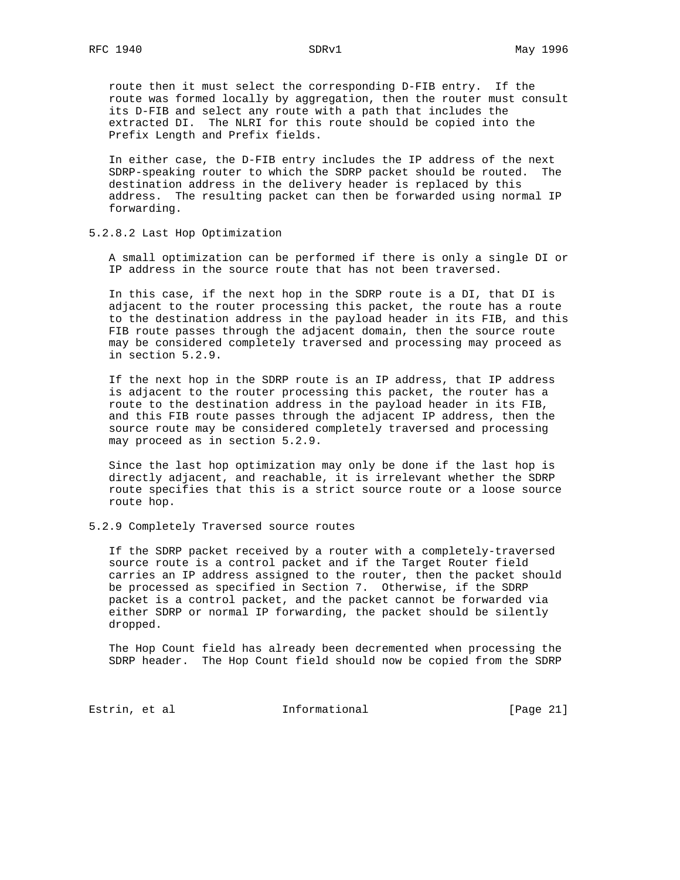route then it must select the corresponding D-FIB entry. If the route was formed locally by aggregation, then the router must consult its D-FIB and select any route with a path that includes the extracted DI. The NLRI for this route should be copied into the Prefix Length and Prefix fields.

 In either case, the D-FIB entry includes the IP address of the next SDRP-speaking router to which the SDRP packet should be routed. The destination address in the delivery header is replaced by this address. The resulting packet can then be forwarded using normal IP forwarding.

5.2.8.2 Last Hop Optimization

 A small optimization can be performed if there is only a single DI or IP address in the source route that has not been traversed.

 In this case, if the next hop in the SDRP route is a DI, that DI is adjacent to the router processing this packet, the route has a route to the destination address in the payload header in its FIB, and this FIB route passes through the adjacent domain, then the source route may be considered completely traversed and processing may proceed as in section 5.2.9.

 If the next hop in the SDRP route is an IP address, that IP address is adjacent to the router processing this packet, the router has a route to the destination address in the payload header in its FIB, and this FIB route passes through the adjacent IP address, then the source route may be considered completely traversed and processing may proceed as in section 5.2.9.

 Since the last hop optimization may only be done if the last hop is directly adjacent, and reachable, it is irrelevant whether the SDRP route specifies that this is a strict source route or a loose source route hop.

5.2.9 Completely Traversed source routes

 If the SDRP packet received by a router with a completely-traversed source route is a control packet and if the Target Router field carries an IP address assigned to the router, then the packet should be processed as specified in Section 7. Otherwise, if the SDRP packet is a control packet, and the packet cannot be forwarded via either SDRP or normal IP forwarding, the packet should be silently dropped.

 The Hop Count field has already been decremented when processing the SDRP header. The Hop Count field should now be copied from the SDRP

Estrin, et al informational [Page 21]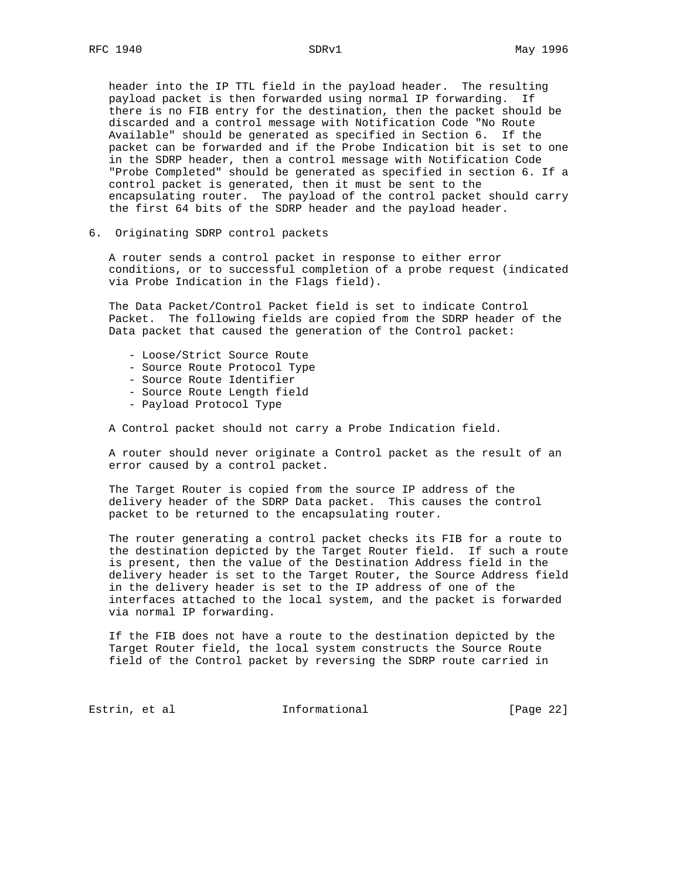header into the IP TTL field in the payload header. The resulting payload packet is then forwarded using normal IP forwarding. If there is no FIB entry for the destination, then the packet should be discarded and a control message with Notification Code "No Route Available" should be generated as specified in Section 6. If the packet can be forwarded and if the Probe Indication bit is set to one in the SDRP header, then a control message with Notification Code "Probe Completed" should be generated as specified in section 6. If a control packet is generated, then it must be sent to the encapsulating router. The payload of the control packet should carry the first 64 bits of the SDRP header and the payload header.

6. Originating SDRP control packets

 A router sends a control packet in response to either error conditions, or to successful completion of a probe request (indicated via Probe Indication in the Flags field).

 The Data Packet/Control Packet field is set to indicate Control Packet. The following fields are copied from the SDRP header of the Data packet that caused the generation of the Control packet:

- Loose/Strict Source Route
- Source Route Protocol Type
- Source Route Identifier
- Source Route Length field
- Payload Protocol Type

A Control packet should not carry a Probe Indication field.

 A router should never originate a Control packet as the result of an error caused by a control packet.

 The Target Router is copied from the source IP address of the delivery header of the SDRP Data packet. This causes the control packet to be returned to the encapsulating router.

 The router generating a control packet checks its FIB for a route to the destination depicted by the Target Router field. If such a route is present, then the value of the Destination Address field in the delivery header is set to the Target Router, the Source Address field in the delivery header is set to the IP address of one of the interfaces attached to the local system, and the packet is forwarded via normal IP forwarding.

 If the FIB does not have a route to the destination depicted by the Target Router field, the local system constructs the Source Route field of the Control packet by reversing the SDRP route carried in

Estrin, et al informational [Page 22]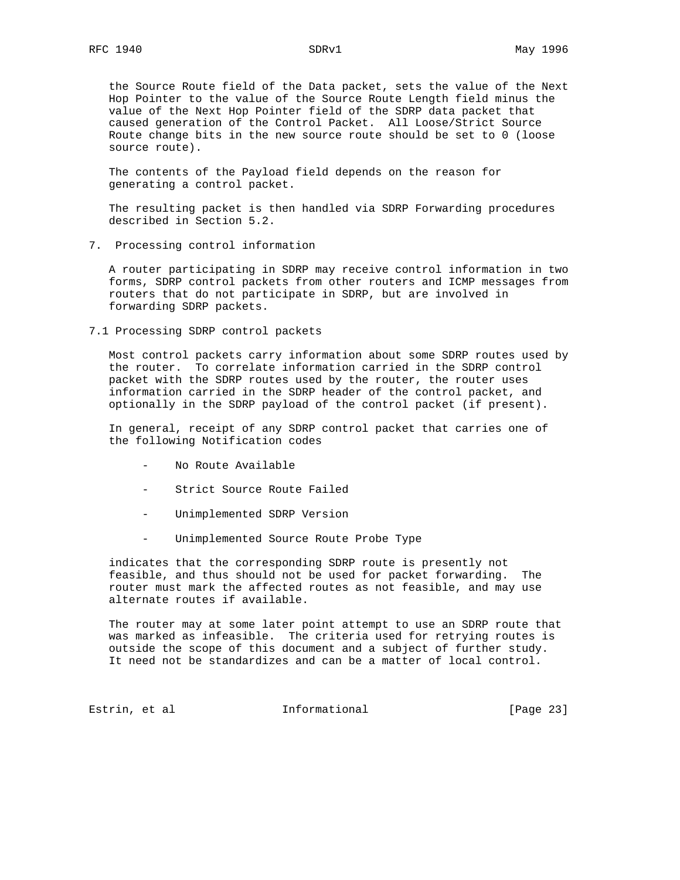the Source Route field of the Data packet, sets the value of the Next Hop Pointer to the value of the Source Route Length field minus the value of the Next Hop Pointer field of the SDRP data packet that caused generation of the Control Packet. All Loose/Strict Source Route change bits in the new source route should be set to 0 (loose source route).

 The contents of the Payload field depends on the reason for generating a control packet.

 The resulting packet is then handled via SDRP Forwarding procedures described in Section 5.2.

7. Processing control information

 A router participating in SDRP may receive control information in two forms, SDRP control packets from other routers and ICMP messages from routers that do not participate in SDRP, but are involved in forwarding SDRP packets.

7.1 Processing SDRP control packets

 Most control packets carry information about some SDRP routes used by the router. To correlate information carried in the SDRP control packet with the SDRP routes used by the router, the router uses information carried in the SDRP header of the control packet, and optionally in the SDRP payload of the control packet (if present).

 In general, receipt of any SDRP control packet that carries one of the following Notification codes

- No Route Available
- Strict Source Route Failed
- Unimplemented SDRP Version
- Unimplemented Source Route Probe Type

 indicates that the corresponding SDRP route is presently not feasible, and thus should not be used for packet forwarding. The router must mark the affected routes as not feasible, and may use alternate routes if available.

 The router may at some later point attempt to use an SDRP route that was marked as infeasible. The criteria used for retrying routes is outside the scope of this document and a subject of further study. It need not be standardizes and can be a matter of local control.

Estrin, et al informational [Page 23]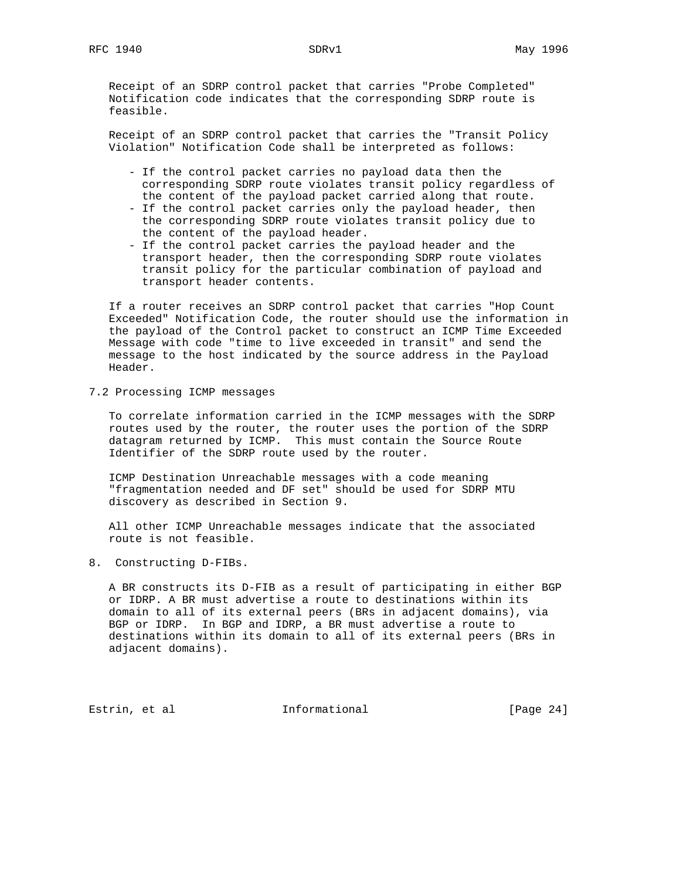Receipt of an SDRP control packet that carries "Probe Completed" Notification code indicates that the corresponding SDRP route is feasible.

 Receipt of an SDRP control packet that carries the "Transit Policy Violation" Notification Code shall be interpreted as follows:

- If the control packet carries no payload data then the corresponding SDRP route violates transit policy regardless of the content of the payload packet carried along that route.
- If the control packet carries only the payload header, then the corresponding SDRP route violates transit policy due to the content of the payload header.
- If the control packet carries the payload header and the transport header, then the corresponding SDRP route violates transit policy for the particular combination of payload and transport header contents.

 If a router receives an SDRP control packet that carries "Hop Count Exceeded" Notification Code, the router should use the information in the payload of the Control packet to construct an ICMP Time Exceeded Message with code "time to live exceeded in transit" and send the message to the host indicated by the source address in the Payload Header.

7.2 Processing ICMP messages

 To correlate information carried in the ICMP messages with the SDRP routes used by the router, the router uses the portion of the SDRP datagram returned by ICMP. This must contain the Source Route Identifier of the SDRP route used by the router.

 ICMP Destination Unreachable messages with a code meaning "fragmentation needed and DF set" should be used for SDRP MTU discovery as described in Section 9.

 All other ICMP Unreachable messages indicate that the associated route is not feasible.

8. Constructing D-FIBs.

 A BR constructs its D-FIB as a result of participating in either BGP or IDRP. A BR must advertise a route to destinations within its domain to all of its external peers (BRs in adjacent domains), via BGP or IDRP. In BGP and IDRP, a BR must advertise a route to destinations within its domain to all of its external peers (BRs in adjacent domains).

Estrin, et al informational [Page 24]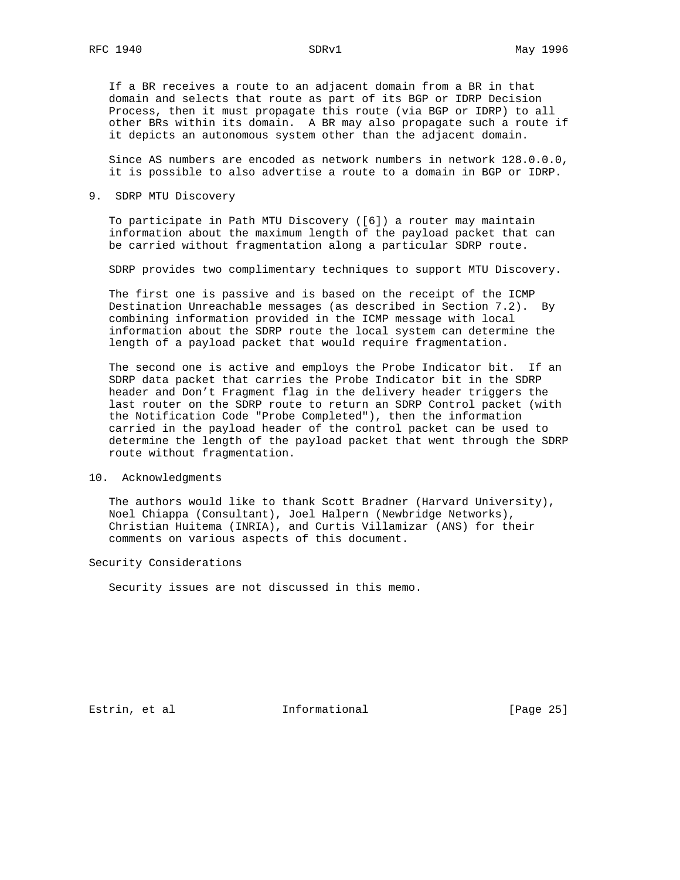If a BR receives a route to an adjacent domain from a BR in that domain and selects that route as part of its BGP or IDRP Decision Process, then it must propagate this route (via BGP or IDRP) to all other BRs within its domain. A BR may also propagate such a route if it depicts an autonomous system other than the adjacent domain.

 Since AS numbers are encoded as network numbers in network 128.0.0.0, it is possible to also advertise a route to a domain in BGP or IDRP.

# 9. SDRP MTU Discovery

 To participate in Path MTU Discovery ([6]) a router may maintain information about the maximum length of the payload packet that can be carried without fragmentation along a particular SDRP route.

SDRP provides two complimentary techniques to support MTU Discovery.

 The first one is passive and is based on the receipt of the ICMP Destination Unreachable messages (as described in Section 7.2). By combining information provided in the ICMP message with local information about the SDRP route the local system can determine the length of a payload packet that would require fragmentation.

 The second one is active and employs the Probe Indicator bit. If an SDRP data packet that carries the Probe Indicator bit in the SDRP header and Don't Fragment flag in the delivery header triggers the last router on the SDRP route to return an SDRP Control packet (with the Notification Code "Probe Completed"), then the information carried in the payload header of the control packet can be used to determine the length of the payload packet that went through the SDRP route without fragmentation.

#### 10. Acknowledgments

 The authors would like to thank Scott Bradner (Harvard University), Noel Chiappa (Consultant), Joel Halpern (Newbridge Networks), Christian Huitema (INRIA), and Curtis Villamizar (ANS) for their comments on various aspects of this document.

# Security Considerations

Security issues are not discussed in this memo.

Estrin, et al informational [Page 25]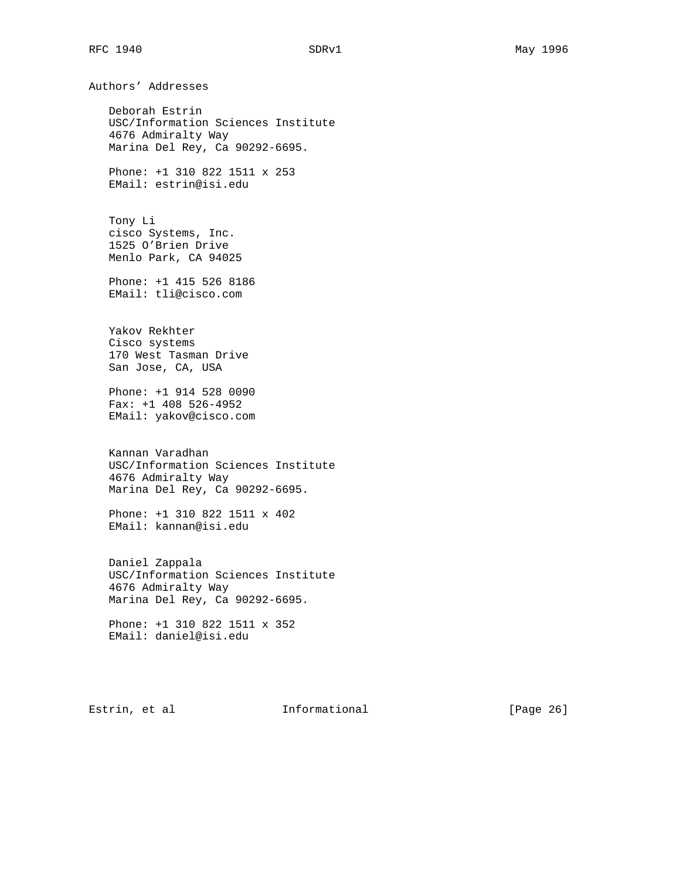Authors' Addresses

 Deborah Estrin USC/Information Sciences Institute 4676 Admiralty Way Marina Del Rey, Ca 90292-6695.

 Phone: +1 310 822 1511 x 253 EMail: estrin@isi.edu

 Tony Li cisco Systems, Inc. 1525 O'Brien Drive Menlo Park, CA 94025

 Phone: +1 415 526 8186 EMail: tli@cisco.com

 Yakov Rekhter Cisco systems 170 West Tasman Drive San Jose, CA, USA

 Phone: +1 914 528 0090 Fax: +1 408 526-4952 EMail: yakov@cisco.com

 Kannan Varadhan USC/Information Sciences Institute 4676 Admiralty Way Marina Del Rey, Ca 90292-6695.

 Phone: +1 310 822 1511 x 402 EMail: kannan@isi.edu

 Daniel Zappala USC/Information Sciences Institute 4676 Admiralty Way Marina Del Rey, Ca 90292-6695.

 Phone: +1 310 822 1511 x 352 EMail: daniel@isi.edu

Estrin, et al informational [Page 26]